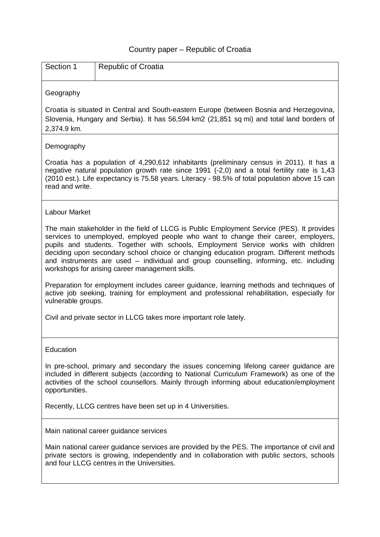## Country paper – Republic of Croatia

| Section 1            | <b>Republic of Croatia</b>                                                                                                                                                                                                                                                                                                                                                                                                                                                                                    |  |  |  |  |
|----------------------|---------------------------------------------------------------------------------------------------------------------------------------------------------------------------------------------------------------------------------------------------------------------------------------------------------------------------------------------------------------------------------------------------------------------------------------------------------------------------------------------------------------|--|--|--|--|
| Geography            |                                                                                                                                                                                                                                                                                                                                                                                                                                                                                                               |  |  |  |  |
| 2,374.9 km.          | Croatia is situated in Central and South-eastern Europe (between Bosnia and Herzegovina,<br>Slovenia, Hungary and Serbia). It has 56,594 km2 (21,851 sq mi) and total land borders of                                                                                                                                                                                                                                                                                                                         |  |  |  |  |
| Demography           |                                                                                                                                                                                                                                                                                                                                                                                                                                                                                                               |  |  |  |  |
| read and write.      | Croatia has a population of 4,290,612 inhabitants (preliminary census in 2011). It has a<br>negative natural population growth rate since 1991 (-2,0) and a total fertility rate is 1,43<br>(2010 est.). Life expectancy is 75.58 years. Literacy - 98.5% of total population above 15 can                                                                                                                                                                                                                    |  |  |  |  |
| <b>Labour Market</b> |                                                                                                                                                                                                                                                                                                                                                                                                                                                                                                               |  |  |  |  |
|                      | The main stakeholder in the field of LLCG is Public Employment Service (PES). It provides<br>services to unemployed, employed people who want to change their career, employers,<br>pupils and students. Together with schools, Employment Service works with children<br>deciding upon secondary school choice or changing education program. Different methods<br>and instruments are used – individual and group counselling, informing, etc. including<br>workshops for arising career management skills. |  |  |  |  |
| vulnerable groups.   | Preparation for employment includes career guidance, learning methods and techniques of<br>active job seeking, training for employment and professional rehabilitation, especially for                                                                                                                                                                                                                                                                                                                        |  |  |  |  |
|                      | Civil and private sector in LLCG takes more important role lately.                                                                                                                                                                                                                                                                                                                                                                                                                                            |  |  |  |  |
| Education            |                                                                                                                                                                                                                                                                                                                                                                                                                                                                                                               |  |  |  |  |
| opportunities.       | In pre-school, primary and secondary the issues concerning lifelong career guidance are<br>included in different subjects (according to National Curriculum Framework) as one of the<br>activities of the school counsellors. Mainly through informing about education/employment                                                                                                                                                                                                                             |  |  |  |  |
|                      | Recently, LLCG centres have been set up in 4 Universities.                                                                                                                                                                                                                                                                                                                                                                                                                                                    |  |  |  |  |
|                      | Main national career guidance services                                                                                                                                                                                                                                                                                                                                                                                                                                                                        |  |  |  |  |
|                      | Main national career guidance services are provided by the PES. The importance of civil and<br>private sectors is growing, independently and in collaboration with public sectors, schools<br>and four LLCG centres in the Universities.                                                                                                                                                                                                                                                                      |  |  |  |  |
|                      |                                                                                                                                                                                                                                                                                                                                                                                                                                                                                                               |  |  |  |  |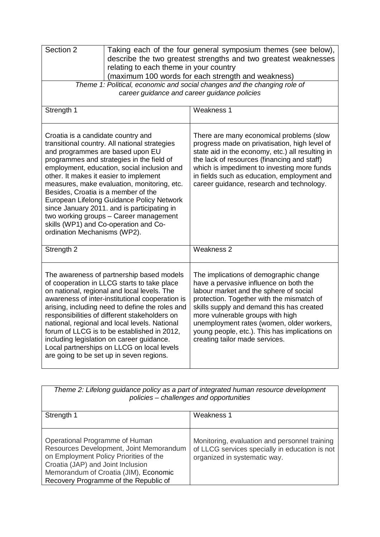| Section 2<br>Taking each of the four general symposium themes (see below),<br>describe the two greatest strengths and two greatest weaknesses                                                                                                                                                                                                                                                                                                                                                                                                                      |                                                                                                                                                                                                                                                                                                                                                                                          |  |  |
|--------------------------------------------------------------------------------------------------------------------------------------------------------------------------------------------------------------------------------------------------------------------------------------------------------------------------------------------------------------------------------------------------------------------------------------------------------------------------------------------------------------------------------------------------------------------|------------------------------------------------------------------------------------------------------------------------------------------------------------------------------------------------------------------------------------------------------------------------------------------------------------------------------------------------------------------------------------------|--|--|
| relating to each theme in your country<br>(maximum 100 words for each strength and weakness)                                                                                                                                                                                                                                                                                                                                                                                                                                                                       |                                                                                                                                                                                                                                                                                                                                                                                          |  |  |
| Theme 1: Political, economic and social changes and the changing role of<br>career guidance and career guidance policies                                                                                                                                                                                                                                                                                                                                                                                                                                           |                                                                                                                                                                                                                                                                                                                                                                                          |  |  |
| Strength 1                                                                                                                                                                                                                                                                                                                                                                                                                                                                                                                                                         | Weakness 1                                                                                                                                                                                                                                                                                                                                                                               |  |  |
| Croatia is a candidate country and<br>transitional country. All national strategies<br>and programmes are based upon EU<br>programmes and strategies in the field of<br>employment, education, social inclusion and<br>other. It makes it easier to implement<br>measures, make evaluation, monitoring, etc.<br>Besides, Croatia is a member of the<br>European Lifelong Guidance Policy Network<br>since January 2011. and is participating in<br>two working groups - Career management<br>skills (WP1) and Co-operation and Co-<br>ordination Mechanisms (WP2). | There are many economical problems (slow<br>progress made on privatisation, high level of<br>state aid in the economy, etc.) all resulting in<br>the lack of resources (financing and staff)<br>which is impediment to investing more funds<br>in fields such as education, employment and<br>career guidance, research and technology.                                                  |  |  |
| Strength 2                                                                                                                                                                                                                                                                                                                                                                                                                                                                                                                                                         | Weakness 2                                                                                                                                                                                                                                                                                                                                                                               |  |  |
| The awareness of partnership based models<br>of cooperation in LLCG starts to take place<br>on national, regional and local levels. The<br>awareness of inter-institutional cooperation is<br>arising, including need to define the roles and<br>responsibilities of different stakeholders on<br>national, regional and local levels. National<br>forum of LLCG is to be established in 2012,<br>including legislation on career guidance.<br>Local partnerships on LLCG on local levels<br>are going to be set up in seven regions.                              | The implications of demographic change<br>have a pervasive influence on both the<br>labour market and the sphere of social<br>protection. Together with the mismatch of<br>skills supply and demand this has created<br>more vulnerable groups with high<br>unemployment rates (women, older workers,<br>young people, etc.). This has implications on<br>creating tailor made services. |  |  |

*Theme 2: Lifelong guidance policy as a part of integrated human resource development policies – challenges and opportunities*

| Strength 1                              | Weakness 1                                     |
|-----------------------------------------|------------------------------------------------|
|                                         |                                                |
|                                         |                                                |
| Operational Programme of Human          | Monitoring, evaluation and personnel training  |
| Resources Development, Joint Memorandum | of LLCG services specially in education is not |
| on Employment Policy Priorities of the  | organized in systematic way.                   |
| Croatia (JAP) and Joint Inclusion       |                                                |
| Memorandum of Croatia (JIM), Economic   |                                                |
| Recovery Programme of the Republic of   |                                                |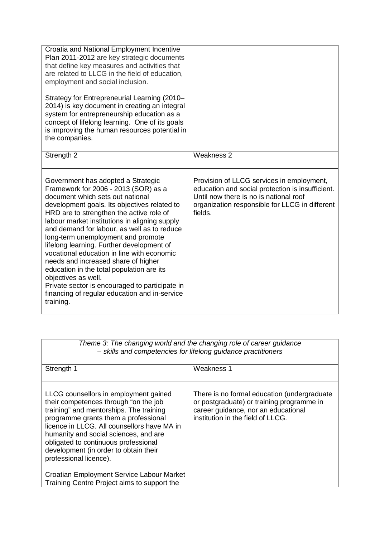| Croatia and National Employment Incentive<br>Plan 2011-2012 are key strategic documents<br>that define key measures and activities that<br>are related to LLCG in the field of education,<br>employment and social inclusion.<br>Strategy for Entrepreneurial Learning (2010–<br>2014) is key document in creating an integral<br>system for entrepreneurship education as a<br>concept of lifelong learning. One of its goals<br>is improving the human resources potential in<br>the companies.                                                                                                                                                                      |                                                                                                                                                                                                      |
|------------------------------------------------------------------------------------------------------------------------------------------------------------------------------------------------------------------------------------------------------------------------------------------------------------------------------------------------------------------------------------------------------------------------------------------------------------------------------------------------------------------------------------------------------------------------------------------------------------------------------------------------------------------------|------------------------------------------------------------------------------------------------------------------------------------------------------------------------------------------------------|
| Strength 2                                                                                                                                                                                                                                                                                                                                                                                                                                                                                                                                                                                                                                                             | Weakness 2                                                                                                                                                                                           |
| Government has adopted a Strategic<br>Framework for 2006 - 2013 (SOR) as a<br>document which sets out national<br>development goals. Its objectives related to<br>HRD are to strengthen the active role of<br>labour market institutions in aligning supply<br>and demand for labour, as well as to reduce<br>long-term unemployment and promote<br>lifelong learning. Further development of<br>vocational education in line with economic<br>needs and increased share of higher<br>education in the total population are its<br>objectives as well.<br>Private sector is encouraged to participate in<br>financing of regular education and in-service<br>training. | Provision of LLCG services in employment,<br>education and social protection is insufficient.<br>Until now there is no is national roof<br>organization responsible for LLCG in different<br>fields. |

| Theme 3: The changing world and the changing role of career guidance<br>- skills and competencies for lifelong guidance practitioners                                                                                                                                                                                                                                                                             |                                                                                                                                                                      |  |
|-------------------------------------------------------------------------------------------------------------------------------------------------------------------------------------------------------------------------------------------------------------------------------------------------------------------------------------------------------------------------------------------------------------------|----------------------------------------------------------------------------------------------------------------------------------------------------------------------|--|
| Strength 1                                                                                                                                                                                                                                                                                                                                                                                                        | Weakness 1                                                                                                                                                           |  |
| LLCG counsellors in employment gained<br>their competences through "on the job<br>training" and mentorships. The training<br>programme grants them a professional<br>licence in LLCG. All counsellors have MA in<br>humanity and social sciences, and are<br>obligated to continuous professional<br>development (in order to obtain their<br>professional licence).<br>Croatian Employment Service Labour Market | There is no formal education (undergraduate<br>or postgraduate) or training programme in<br>career guidance, nor an educational<br>institution in the field of LLCG. |  |
| Training Centre Project aims to support the                                                                                                                                                                                                                                                                                                                                                                       |                                                                                                                                                                      |  |

*Theme 3: The changing world and the changing role of career guidance*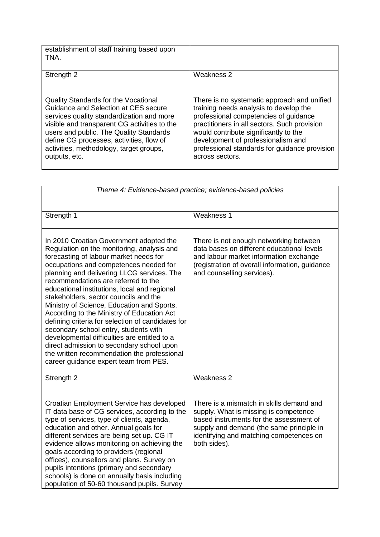| establishment of staff training based upon<br>TNA.                                                                                                                                                                                                                                                                                  |                                                                                                                                                                                                                                                                                                                                   |
|-------------------------------------------------------------------------------------------------------------------------------------------------------------------------------------------------------------------------------------------------------------------------------------------------------------------------------------|-----------------------------------------------------------------------------------------------------------------------------------------------------------------------------------------------------------------------------------------------------------------------------------------------------------------------------------|
| Strength 2                                                                                                                                                                                                                                                                                                                          | Weakness 2                                                                                                                                                                                                                                                                                                                        |
| <b>Quality Standards for the Vocational</b><br>Guidance and Selection at CES secure<br>services quality standardization and more<br>visible and transparent CG activities to the<br>users and public. The Quality Standards<br>define CG processes, activities, flow of<br>activities, methodology, target groups,<br>outputs, etc. | There is no systematic approach and unified<br>training needs analysis to develop the<br>professional competencies of guidance<br>practitioners in all sectors. Such provision<br>would contribute significantly to the<br>development of professionalism and<br>professional standards for guidance provision<br>across sectors. |

| Theme 4: Evidence-based practice; evidence-based policies                                                                                                                                                                                                                                                                                                                                                                                                                                                                                                                                                                                                                                                                              |                                                                                                                                                                                                                                     |  |  |
|----------------------------------------------------------------------------------------------------------------------------------------------------------------------------------------------------------------------------------------------------------------------------------------------------------------------------------------------------------------------------------------------------------------------------------------------------------------------------------------------------------------------------------------------------------------------------------------------------------------------------------------------------------------------------------------------------------------------------------------|-------------------------------------------------------------------------------------------------------------------------------------------------------------------------------------------------------------------------------------|--|--|
| Strength 1                                                                                                                                                                                                                                                                                                                                                                                                                                                                                                                                                                                                                                                                                                                             | Weakness 1                                                                                                                                                                                                                          |  |  |
| In 2010 Croatian Government adopted the<br>Regulation on the monitoring, analysis and<br>forecasting of labour market needs for<br>occupations and competences needed for<br>planning and delivering LLCG services. The<br>recommendations are referred to the<br>educational institutions, local and regional<br>stakeholders, sector councils and the<br>Ministry of Science, Education and Sports.<br>According to the Ministry of Education Act<br>defining criteria for selection of candidates for<br>secondary school entry, students with<br>developmental difficulties are entitled to a<br>direct admission to secondary school upon<br>the written recommendation the professional<br>career guidance expert team from PES. | There is not enough networking between<br>data bases on different educational levels<br>and labour market information exchange<br>(registration of overall information, guidance<br>and counselling services).                      |  |  |
| Strength 2                                                                                                                                                                                                                                                                                                                                                                                                                                                                                                                                                                                                                                                                                                                             | Weakness 2                                                                                                                                                                                                                          |  |  |
| Croatian Employment Service has developed<br>IT data base of CG services, according to the<br>type of services, type of clients, agenda,<br>education and other. Annual goals for<br>different services are being set up. CG IT<br>evidence allows monitoring on achieving the<br>goals according to providers (regional<br>offices), counsellors and plans. Survey on<br>pupils intentions (primary and secondary<br>schools) is done on annually basis including<br>population of 50-60 thousand pupils. Survey                                                                                                                                                                                                                      | There is a mismatch in skills demand and<br>supply. What is missing is competence<br>based instruments for the assessment of<br>supply and demand (the same principle in<br>identifying and matching competences on<br>both sides). |  |  |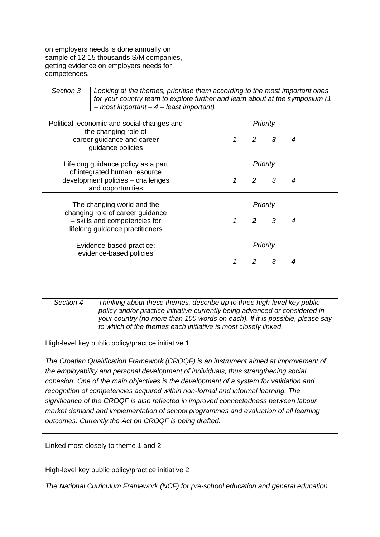| on employers needs is done annually on<br>sample of 12-15 thousands S/M companies,<br>getting evidence on employers needs for<br>competences. |                                                                                                                                                                                                           |   |                            |               |   |
|-----------------------------------------------------------------------------------------------------------------------------------------------|-----------------------------------------------------------------------------------------------------------------------------------------------------------------------------------------------------------|---|----------------------------|---------------|---|
| Section 3                                                                                                                                     | Looking at the themes, prioritise them according to the most important ones<br>for your country team to explore further and learn about at the symposium (1<br>$=$ most important $-4$ = least important) |   |                            |               |   |
| Political, economic and social changes and<br>the changing role of<br>career guidance and career<br>guidance policies                         |                                                                                                                                                                                                           | 1 | $\overline{2}$             | Priority<br>3 | 4 |
| Lifelong guidance policy as a part<br>of integrated human resource<br>development policies - challenges<br>and opportunities                  |                                                                                                                                                                                                           | 1 | $\overline{2}$             | Priority<br>3 | 4 |
| The changing world and the<br>changing role of career guidance<br>- skills and competencies for<br>lifelong guidance practitioners            |                                                                                                                                                                                                           | 1 | $\overline{2}$             | Priority<br>3 | 4 |
|                                                                                                                                               | Evidence-based practice;<br>evidence-based policies                                                                                                                                                       | 1 | Priority<br>$\overline{2}$ | 3             |   |

| Section 4 | Thinking about these themes, describe up to three high-level key public      |
|-----------|------------------------------------------------------------------------------|
|           | policy and/or practice initiative currently being advanced or considered in  |
|           | your country (no more than 100 words on each). If it is possible, please say |
|           | to which of the themes each initiative is most closely linked.               |

High-level key public policy/practice initiative 1

*The Croatian Qualification Framework (CROQF) is an instrument aimed at improvement of the employability and personal development of individuals, thus strengthening social cohesion. One of the main objectives is the development of a system for validation and recognition of competencies acquired within non-formal and informal learning. The significance of the CROQF is also reflected in improved connectedness between labour market demand and implementation of school programmes and evaluation of all learning outcomes. Currently the Act on CROQF is being drafted.*

Linked most closely to theme 1 and 2

High-level key public policy/practice initiative 2

*The National Curriculum Framework (NCF) for pre-school education and general education*